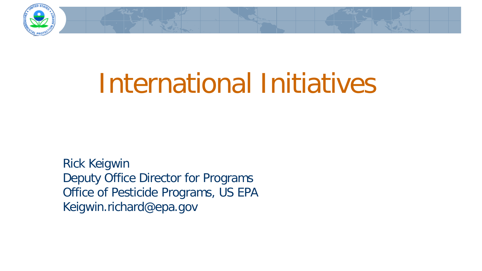

# International Initiatives

Rick Keigwin Deputy Office Director for Programs Office of Pesticide Programs, US EPA Keigwin.richard@epa.gov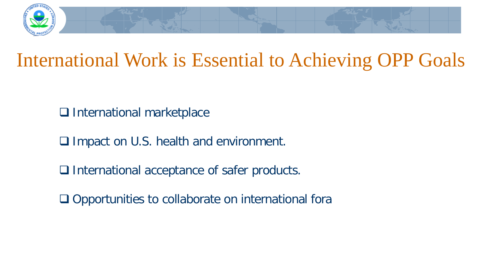

## International Work is Essential to Achieving OPP Goals

**□ International marketplace** 

□ Impact on U.S. health and environment.

□ International acceptance of safer products.

 $\Box$  Opportunities to collaborate on international fora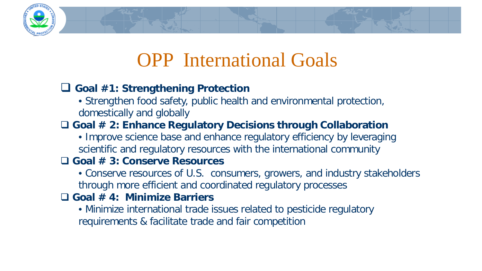## OPP International Goals

#### **Goal #1: Strengthening Protection**

• Strengthen food safety, public health and environmental protection, domestically and globally

#### **Goal # 2: Enhance Regulatory Decisions through Collaboration**

• Improve science base and enhance regulatory efficiency by leveraging scientific and regulatory resources with the international community

#### **Goal # 3: Conserve Resources**

• Conserve resources of U.S. consumers, growers, and industry stakeholders through more efficient and coordinated regulatory processes

#### **Goal # 4: Minimize Barriers**

• Minimize international trade issues related to pesticide regulatory requirements & facilitate trade and fair competition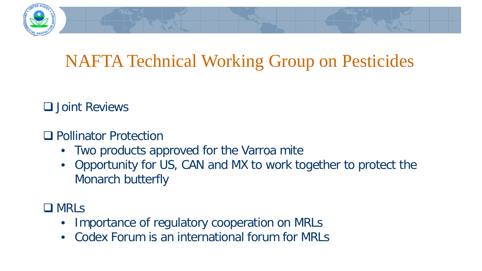

## NAFTA Technical Working Group on Pesticides

### **Q** Joint Reviews

#### **Q** Pollinator Protection

- Two products approved for the Varroa mite
- Opportunity for US, CAN and MX to work together to protect the Monarch butterfly

#### **O** MRLS

- Importance of regulatory cooperation on MRLs
- Codex Forum is an international forum for MRLs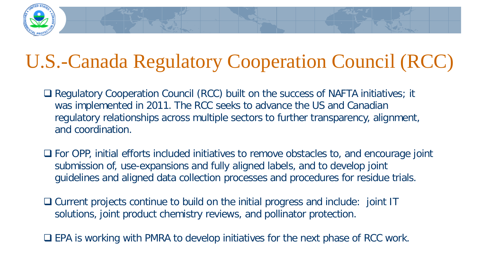## U.S.-Canada Regulatory Cooperation Council (RCC)

- □ Regulatory Cooperation Council (RCC) built on the success of NAFTA initiatives; it was implemented in 2011. The RCC seeks to advance the US and Canadian regulatory relationships across multiple sectors to further transparency, alignment, and coordination.
- □ For OPP, initial efforts included initiatives to remove obstacles to, and encourage joint submission of, use-expansions and fully aligned labels, and to develop joint guidelines and aligned data collection processes and procedures for residue trials.
- Current projects continue to build on the initial progress and include: joint IT solutions, joint product chemistry reviews, and pollinator protection.
- $\Box$  EPA is working with PMRA to develop initiatives for the next phase of RCC work.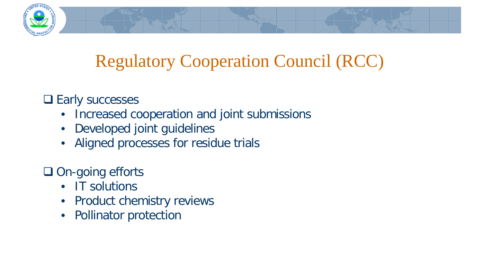

□ Early successes

- Increased cooperation and joint submissions
- Developed joint guidelines
- Aligned processes for residue trials

### $\Box$  On-going efforts

- IT solutions
- Product chemistry reviews
- Pollinator protection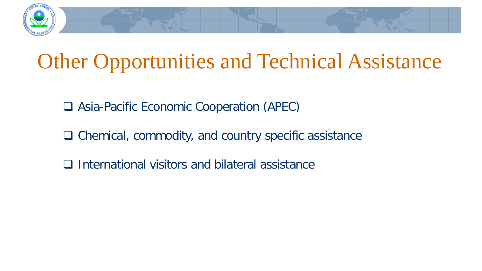

## Other Opportunities and Technical Assistance

□ Asia-Pacific Economic Cooperation (APEC)

- $\Box$  Chemical, commodity, and country specific assistance
- $\Box$  International visitors and bilateral assistance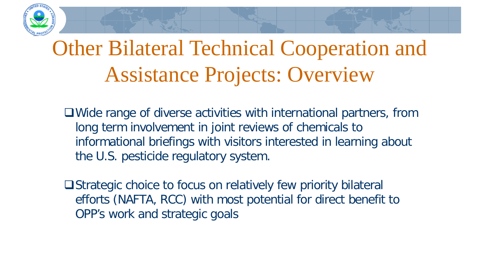

- ■Wide range of diverse activities with international partners, from long term involvement in joint reviews of chemicals to informational briefings with visitors interested in learning about the U.S. pesticide regulatory system.
- **■** Strategic choice to focus on relatively few priority bilateral efforts (NAFTA, RCC) with most potential for direct benefit to OPP's work and strategic goals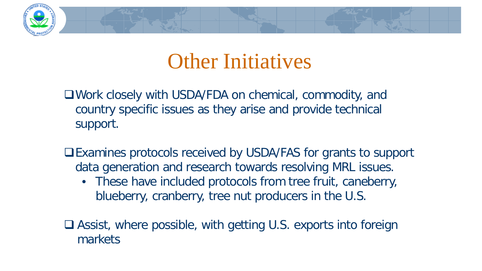## **Other Initiatives**

Work closely with USDA/FDA on chemical, commodity, and country specific issues as they arise and provide technical support.

- Examines protocols received by USDA/FAS for grants to support data generation and research towards resolving MRL issues.
	- These have included protocols from tree fruit, caneberry, blueberry, cranberry, tree nut producers in the U.S.

■ Assist, where possible, with getting U.S. exports into foreign markets